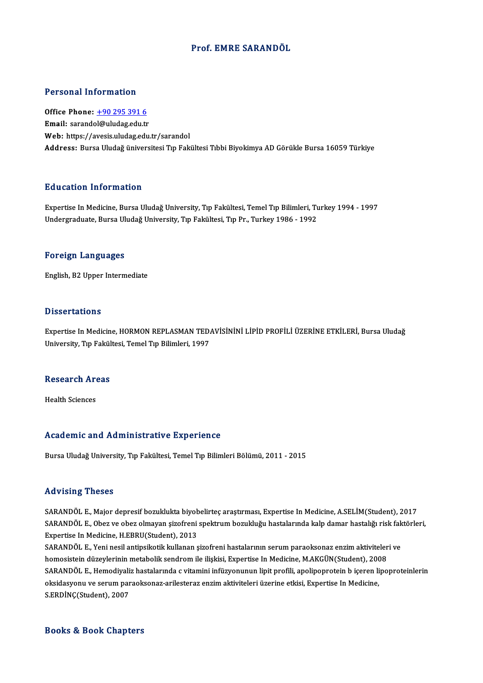## Prof. EMRE SARANDÖL

## Personal Information

Office Phone: +90 295 391 6 Email: sarand[ol@uludag.edu.tr](tel:+90 295 391 6) Web: https://avesis.uludag.edu.tr/sarandol Address: Bursa Uludağ üniversitesi Tıp Fakültesi Tıbbi Biyokimya AD Görükle Bursa 16059 Türkiye

## Education Information

Education Information<br>Expertise In Medicine, Bursa Uludağ University, Tıp Fakültesi, Temel Tıp Bilimleri, Turkey 1994 - 1997<br>Undergraduate Burga Uludağ University, Tıp Fakültesi, Tıp Pr. Turkey 1986 - 1992 Buusution Tirror mutrori<br>Expertise In Medicine, Bursa Uludağ University, Tıp Fakültesi, Temel Tıp Bilimleri, Tı<br>Undergraduate, Bursa Uludağ University, Tıp Fakültesi, Tıp Pr., Turkey 1986 - 1992 Undergraduate, Bursa Uludağ University, Tıp Fakültesi, Tıp Pr., Turkey 1986 - 1992<br>Foreign Languages

English,B2Upper Intermediate

### **Dissertations**

Dissertations<br>Expertise In Medicine, HORMON REPLASMAN TEDAVİSİNİNİ LİPİD PROFİLİ ÜZERİNE ETKİLERİ, Bursa Uludağ<br>University Tın Fakültesi Temel Tın Bilimleri, 1997 D 19991 tatrono<br>Expertise In Medicine, HORMON REPLASMAN TED*i*<br>University, Tıp Fakültesi, Temel Tıp Bilimleri, 1997

# oniversity, rip rakui<br>Research Areas R<mark>esearch Ar</mark><br>Health Sciences

# Academic and Administrative Experience

Bursa Uludağ University, Tıp Fakültesi, Temel Tıp Bilimleri Bölümü, 2011 - 2015

### Advising Theses

Advising Theses<br>SARANDÖL E., Major depresif bozuklukta biyobelirteç araştırması, Expertise In Medicine, A.SELİM(Student), 2017<br>SARANDÖL E. Obez ve eber elmeyen sizefreni spektrum bezukluğu bestelerinde kelp damar besteliği SARANDÖL E., Obez ve obez olmayan şizofreni spektrum bozukluğu hastalarında kalp damar hastalığı risk faktörleri,<br>Expertise In Medicine, H.EBRU(Student), 2013 SARANDÖL E., Major depresif bozuklukta biyob<br>SARANDÖL E., Obez ve obez olmayan şizofreni<br>Expertise In Medicine, H.EBRU(Student), 2013<br>SARANDÖL E. Voni nesil antinsikatik kullanan s SARANDÖL E., Obez ve obez olmayan şizofreni spektrum bozukluğu hastalarında kalp damar hastalığı risk fak<br>Expertise In Medicine, H.EBRU(Student), 2013<br>SARANDÖL E., Yeni nesil antipsikotik kullanan şizofreni hastalarının se

Expertise In Medicine, H.EBRU(Student), 2013<br>SARANDÖL E., Yeni nesil antipsikotik kullanan şizofreni hastalarının serum paraoksonaz enzim aktiviteler<br>homosistein düzeylerinin metabolik sendrom ile ilişkisi, Expertise In Me SARANDÖL E., Yeni nesil antipsikotik kullanan şizofreni hastalarının serum paraoksonaz enzim aktiviteleri ve<br>homosistein düzeylerinin metabolik sendrom ile ilişkisi, Expertise In Medicine, M.AKGÜN(Student), 2008<br>SARANDÖL E homosistein düzeylerinin metabolik sendrom ile ilişkisi, Expertise In Medicine, M.AKGÜN(Student), 2008<br>SARANDÖL E., Hemodiyaliz hastalarında c vitamini infüzyonunun lipit profili, apolipoprotein b içeren lipc<br>oksidasyonu v SARANDÖL E., Hemodiyaliz hastalarında c vitamini infüzyonunun lipit profili, apolipoprotein b içeren lipoproteinlerin

### Books&Book Chapters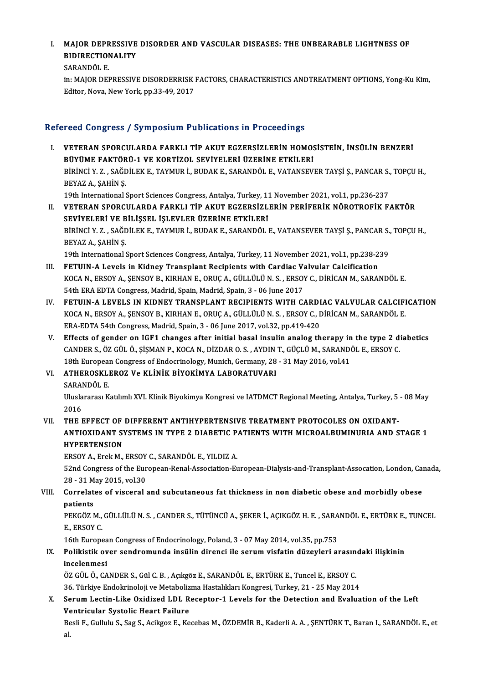## I. MAJOR DEPRESSIVE DISORDER AND VASCULAR DISEASES: THE UNBEARABLE LIGHTNESS OF MAJOR DEPRESSIVE<br>BIDIRECTIONALITY<br>SARANDÖL E BIDIRECTIONALITY<br>SARANDÖL E.

BIDIRECTIONALITY<br>SARANDÖL E.<br>in: MAJOR DEPRESSIVE DISORDERRISK FACTORS, CHARACTERISTICS ANDTREATMENT OPTIONS, Yong-Ku Kim,<br>Editar Nava Navy Yark, pp.33,49, 2017 SARANDÖL E.<br>in: MAJOR DEPRESSIVE DISORDERRISK |<br>Editor, Nova, New York, pp.33-49, 2017

# Editor, Nova, New York, pp.33-49, 2017<br>Refereed Congress / Symposium Publications in Proceedings

efereed Congress / Symposium Publications in Proceedings<br>I. VETERAN SPORCULARDA FARKLI TİP AKUT EGZERSİZLERİN HOMOSİSTEİN, İNSÜLİN BENZERİ<br>PÜVÜME FAKTÖRÜ 1 VE KORTİZOL SEVİYELERİ ÜZERİNE ETKİLERİ TOCA GÖNETCETT STANDATININ TABACACADAN ATT TOCCOAMEST<br>BÜYÜME FAKTÖRÜ-1 VE KORTİZOL SEVİYELERİ ÜZERİNE ETKİLERİ<br>BÜRİNCI V 7. SAĞDİLEK E. TAYMUR İ. BUDAKE, SARANDÖLE VATANSEVI VETERAN SPORCULARDA FARKLI TİP AKUT EGZERSİZLERİN HOMOSİSTEİN, İNSÜLİN BENZERİ<br>BÜYÜME FAKTÖRÜ-1 VE KORTİZOL SEVİYELERİ ÜZERİNE ETKİLERİ<br>BİRİNCİ Y. Z. , SAĞDİLEK E., TAYMUR İ., BUDAK E., SARANDÖL E., VATANSEVER TAYŞİ Ş., PA B<mark>ÜYÜME FAKTÖR</mark><br>BİRİNCİ Y. Z. , SAĞL<br>BEYAZ A., ŞAHİN Ş.<br>10th International i BİRİNCİ Y. Z. , SAĞDİLEK E., TAYMUR İ., BUDAK E., SARANDÖL E., VATANSEVER TAYŞİ Ş., PANCAR S.,<br>BEYAZ A., ŞAHİN Ş.<br>19th International Sport Sciences Congress, Antalya, Turkey, 11 November 2021, vol.1, pp.236-237<br>VETERAN, SP BEYAZ A., ŞAHİN Ş.<br>19th International Sport Sciences Congress, Antalya, Turkey, 11 November 2021, vol.1, pp.236-237<br>II. VETERAN SPORCULARDA FARKLI TİP AKUT EGZERSİZLERİN PERİFERİK NÖROTROFİK FAKTÖR

SEVİYELERİ VE BİLİŞSEL İŞLEVLER ÜZERİNE ETKİLERİ VETERAN SPORCULARDA FARKLI TİP AKUT EGZERSİZLERİN PERİFERİK NÖROTROFİK FAKTÖR<br>SEVİYELERİ VE BİLİŞSEL İŞLEVLER ÜZERİNE ETKİLERİ<br>BİRİNCİ Y. Z. , SAĞDİLEK E., TAYMUR İ., BUDAK E., SARANDÖL E., VATANSEVER TAYŞİ Ş., PANCAR S., SEVİYELERİ VE B<br>BİRİNCİ Y. Z. , SAĞL<br>BEYAZ A., ŞAHİN Ş.<br>10th International 1 BİRİNCİ Y. Z. , SAĞDİLEK E., TAYMUR İ., BUDAK E., SARANDÖL E., VATANSEVER TAYŞİ Ş., PANCAR S.,<br>BEYAZ A., ŞAHİN Ş.<br>19th International Sport Sciences Congress, Antalya, Turkey, 11 November 2021, vol.1, pp.238-239<br>EETIIN A La BEYAZ A., ȘAHIN Ș.<br>19th International Sport Sciences Congress, Antalya, Turkey, 11 November 2021, vol.1, pp.238-2<br>III. FETUIN-A Levels in Kidney Transplant Recipients with Cardiac Valvular Calcification<br>2004 N. ERSOV A. SE

- 19th International Sport Sciences Congress, Antalya, Turkey, 11 November 2021, vol.1, pp.238-239<br>FETUIN-A Levels in Kidney Transplant Recipients with Cardiac Valvular Calcification<br>KOCA N., ERSOY A., ŞENSOY B., KIRHAN E., FETUIN-A Levels in Kidney Transplant Recipients with Cardiac V:<br>KOCA N., ERSOY A., ŞENSOY B., KIRHAN E., ORUÇ A., GÜLLÜLÜ N. S. , ERSOY<br>54th ERA EDTA Congress, Madrid, Spain, Madrid, Spain, 3 - 06 June 2017<br>EETUIN A LEVELS KOCA N., ERSOY A., ŞENSOY B., KIRHAN E., ORUÇ A., GÜLLÜLÜ N. S., ERSOY C., DİRİCAN M., SARANDÖL E.<br>54th ERA EDTA Congress, Madrid, Spain, Madrid, Spain, 3 - 06 June 2017<br>IV. FETUIN-A LEVELS IN KIDNEY TRANSPLANT RECIPIENTS
- 54th ERA EDTA Congress, Madrid, Spain, Madrid, Spain, 3 06 June 2017<br>FETUIN-A LEVELS IN KIDNEY TRANSPLANT RECIPIENTS WITH CARDIAC VALVULAR CALCIFI<br>KOCA N., ERSOY A., ŞENSOY B., KIRHAN E., ORUÇ A., GÜLLÜLÜ N.S. , ERSOY C. FETUIN-A LEVELS IN KIDNEY TRANSPLANT RECIPIENTS WITH CARDI<br>KOCA N., ERSOY A., ŞENSOY B., KIRHAN E., ORUÇ A., GÜLLÜLÜ N. S. , ERSOY C., I<br>ERA-EDTA 54th Congress, Madrid, Spain, 3 - 06 June 2017, vol.32, pp.419-420<br>Effects o KOCA N., ERSOY A., ŞENSOY B., KIRHAN E., ORUÇ A., GÜLLÜLÜ N. S., ERSOY C., DİRİCAN M., SARANDÖL E.<br>ERA-EDTA 54th Congress, Madrid, Spain, 3 - 06 June 2017, vol.32, pp.419-420<br>V. Effects of gender on IGF1 changes after init
- ERA-EDTA 54th Congress, Madrid, Spain, 3 06 June 2017, vol.32, pp.419-420<br>Effects of gender on IGF1 changes after initial basal insulin analog therapy in the type 2 di<br>CANDER S., ÖZ GÜL Ö., ŞİŞMAN P., KOCA N., DİZDAR O. Effects of gender on IGF1 changes after initial basal insulin analog therapy in<br>CANDER S., ÖZ GÜL Ö., ŞİŞMAN P., KOCA N., DİZDAR O. S. , AYDIN T., GÜÇLÜ M., SARANDO<br>18th European Congress of Endocrinology, Munich, Germany, CANDER S., ÖZ GÜL Ö., ŞİŞMAN P., KOCA N., DİZDAR O. S. , AYDIN T., GÜÇLÜ M., SARANDÖL E., ERSOY C.<br>18th European Congress of Endocrinology, Munich, Germany, 28 - 31 May 2016, vol.41<br>VI. ATHEROSKLEROZ Ve KLİNİK BİYOKİMY 18th European Congress of Endocrinology, Munich, Germany, 28 - 31 May 2016, vol.41

ATHEROSKLEROZ Ve KLİNİK BİYOKİMYA LABORATUVARI<br>SARANDÖL E.<br>Uluslararası Katılımlı XVI. Klinik Biyokimya Kongresi ve IATDMCT Regional Meeting, Antalya, Turkey, 5 - 08 May<br>2016 SARAI<br>Ulusla<br>2016<br>TUE I Uluslararası Katılımlı XVI. Klinik Biyokimya Kongresi ve IATDMCT Regional Meeting, Antalya, Turkey, 5<br>2016<br>VII. THE EFFECT OF DIFFERENT ANTIHYPERTENSIVE TREATMENT PROTOCOLES ON OXIDANT-<br>ANTIOXIDANT SYSTEMS IN TYPE 2 DI

2016<br>THE EFFECT OF DIFFERENT ANTIHYPERTENSIVE TREATMENT PROTOCOLES ON OXIDANT-<br>ANTIOXIDANT SYSTEMS IN TYPE 2 DIABETIC PATIENTS WITH MICROALBUMINURIA AND STAGE 1<br>HYPERTENSION THE EFFECT OF<br>ANTIOXIDANT SY<br>HYPERTENSION<br>EPSOV A Epsl M ANTIOXIDANT SYSTEMS IN TYPE 2 DIABETIC P.<br>HYPERTENSION<br>ERSOY A., Erek M., ERSOY C., SARANDÖL E., YILDIZ A.<br>52nd Congress of the European Bonal Association E.

HYPERTENSION<br>ERSOY A., Erek M., ERSOY C., SARANDÖL E., YILDIZ A.<br>52nd Congress of the European-Renal-Association-European-Dialysis-and-Transplant-Assocation, London, Canada,<br>28 - 31 May 2015, vol.30 ERSOY A., Erek M., ERSOY<br>52nd Congress of the Eur<br>28 - 31 May 2015, vol.30<br>Correlates of viscorel 52nd Congress of the European-Renal-Association-European-Dialysis-and-Transplant-Assocation, London, Car<br>28 - 31 May 2015, vol.30<br>VIII. Correlates of visceral and subcutaneous fat thickness in non diabetic obese and morbid

# 28 - 31 M<br>Correlat<br>patients<br>PEKCÖZ M Correlates of visceral and subcutaneous fat thickness in non diabetic obese and morbidly obese<br>patients<br>PEKGÖZ M., GÜLLÜLÜ N. S. , CANDER S., TÜTÜNCÜ A., ŞEKER İ., AÇIKGÖZ H. E. , SARANDÖL E., ERTÜRK E., TUNCEL<br>E. ERSOV C

patients<br>PEKGÖZ M.,<br>E., ERSOY C.<br>16th Europe PEKGÖZ M., GÜLLÜLÜ N. S. , CANDER S., TÜTÜNCÜ A., ŞEKER İ., AÇIKGÖZ H. E. , SARA<br>E., ERSOY C.<br>16th European Congress of Endocrinology, Poland, 3 - 07 May 2014, vol.35, pp.753<br>Polikistik ever sendremunda insülin dirensi ile

## E., ERSOY C.<br>16th European Congress of Endocrinology, Poland, 3 - 07 May 2014, vol.35, pp.753<br>IX. Polikistik over sendromunda insülin direnci ile serum visfatin düzeyleri arasındaki ilişkinin<br>inselepmesi 16th Europea<br>Polikistik ov<br>incelenmesi<br>ÖZ CÜLÖ CA Polikistik over sendromunda insülin direnci ile serum visfatin düzeyleri arasın<br>incelenmesi<br>ÖZ GÜL Ö., CANDER S., Gül C. B. , Açıkgöz E., SARANDÖL E., ERTÜRK E., Tuncel E., ERSOY C.<br>26 Türkiye Endelmineleji ve Metebelizme

<mark>incelenmesi</mark><br>ÖZ GÜL Ö., CANDER S., Gül C. B. , Açıkgöz E., SARANDÖL E., ERTÜRK E., Tuncel E., ERSOY C.<br>36. Türkiye Endokrinoloji ve Metabolizma Hastalıkları Kongresi, Turkey, 21 - 25 May 2014

ÖZ GÜL Ö., CANDER S., Gül C. B. , Açıkgöz E., SARANDÖL E., ERTÜRK E., Tuncel E., ERSOY C.<br>36. Türkiye Endokrinoloji ve Metabolizma Hastalıkları Kongresi, Turkey, 21 - 25 May 2014<br>X. Serum Lectin-Like Oxidized LDL Receptor-36. Türkiye Endokrinoloji ve Metaboliz<br>Serum Lectin-Like Oxidized LDL R<br>Ventricular Systolic Heart Failure<br>Peeli E. Cullulu S. Sea S. Asilves E. Ke

Ventricular Systolic Heart Failure<br>Besli F., Gullulu S., Sag S., Acikgoz E., Kecebas M., ÖZDEMİR B., Kaderli A. A. , ŞENTÜRK T., Baran I., SARANDÖL E., et<br>al. Ve<br>Be<br>al.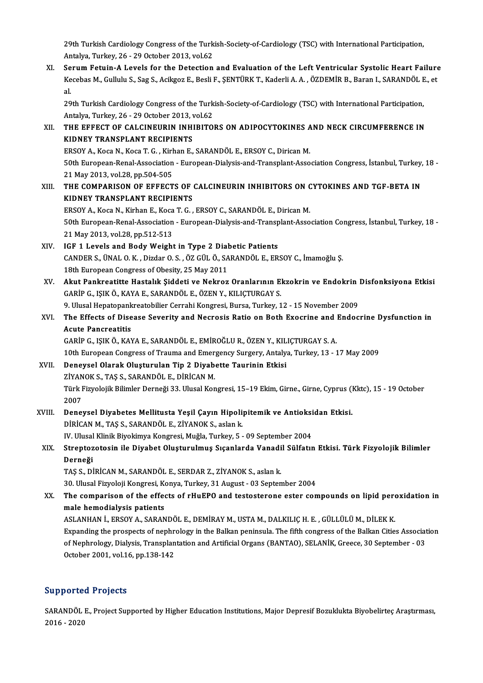29th Turkish Cardiology Congress of the Turkish-Society-of-Cardiology (TSC) with International Participation,<br>Antalya Turkay 26, 29 October 2013 vol.62 29th Turkish Cardiology Congress of the Turk<br>Antalya, Turkey, 26 - 29 October 2013, vol.62<br>Senum Fatuin A Lavels for the Detection

XI. SerumFetuin-A Levels for the Detection and Evaluation of the Left Ventricular Systolic Heart Failure Antalya, Turkey, 26 - 29 October 2013, vol.62<br>Serum Fetuin-A Levels for the Detection and Evaluation of the Left Ventricular Systolic Heart Failure<br>Kecebas M., Gullulu S., Sag S., Acikgoz E., Besli F., ŞENTÜRK T., Kaderli Se<br>Ke<br>al<br>20 Kecebas M., Gullulu S., Sag S., Acikgoz E., Besli F., ŞENTÜRK T., Kaderli A. A. , ÖZDEMİR B., Baran I., SARANDÖL E<br>al.<br>29th Turkish Cardiology Congress of the Turkish-Society-of-Cardiology (TSC) with International Particip al.<br>29th Turkish Cardiology Congress of the Turkish-Society-of-Cardiology (TSC) with International Participation,

Antalya, Turkey, 26 - 29 October 2013, vol.62

## XII. THE EFFECT OF CALCINEURIN INHIBITORS ON ADIPOCYTOKINES AND NECK CIRCUMFERENCE IN<br>KIDNEY TRANSPLANT RECIPIENTS THE EFFECT OF CALCINEURIN INHIBITORS ON ADIPOCYTOKINES A<br>KIDNEY TRANSPLANT RECIPIENTS<br>ERSOY A., Koca N., Koca T. G. , Kirhan E., SARANDÖL E., ERSOY C., Dirican M.<br>E0th European Bonal Association - European Dialysis and Tra KIDNEY TRANSPLANT RECIPIENTS<br>ERSOY A., Koca N., Koca T. G. , Kirhan E., SARANDÖL E., ERSOY C., Dirican M.<br>50th European-Renal-Association - European-Dialysis-and-Transplant-Association Congress, İstanbul, Turkey, 18 -<br>21 M ERSOY A., Koca N., Koca T. G. , Kirl<br>50th European-Renal-Association<br>21 May 2013, vol.28, pp.504-505<br>THE COMBABISON OF FEFECT 50th European-Renal-Association - European-Dialysis-and-Transplant-Association Congress, İstanbul, Turkey,<br>21 May 2013, vol.28, pp.504-505<br>XIII. THE COMPARISON OF EFFECTS OF CALCINEURIN INHIBITORS ON CYTOKINES AND TGF-

21 May 2013, vol.28, pp.504-505<br>THE COMPARISON OF EFFECTS OF CALCINEURIN INHIBITORS ON CYTOKINES AND TGF-BETA IN<br>KIDNEY TRANSPLANT RECIPIENTS THE COMPARISON OF EFFECTS OF CALCINEURIN INHIBITORS ON C<br>KIDNEY TRANSPLANT RECIPIENTS<br>ERSOY A., Koca N., Kirhan E., Koca T. G. , ERSOY C., SARANDÖL E., Dirican M.<br>E0th European Bonal Association - European Dialysis and Tra

50th European-Renal-Association - European-Dialysis-and-Transplant-Association Congress, İstanbul, Turkey, 18 -<br>21 May 2013, vol.28, pp.512-513 ERSOY A., Koca N., Kirhan E., Koca<br>50th European-Renal-Association<br>21 May 2013, vol.28, pp.512-513<br>ICE 1 Levels and Body Weight

- XIV. IGF 1 Levels and BodyWeight in Type 2 Diabetic Patients CANDERS.,ÜNALO.K. ,DizdarO.S. ,ÖZGÜLÖ.,SARANDÖL E.,ERSOYC., İmamoğlu Ş. 18th European Congress of Obesity, 25 May 2011 CANDER S., ÜNAL O. K. , Dizdar O. S. , ÖZ GÜL Ö., SARANDÖL E., ERSOY C., İmamoğlu Ş.<br>18th European Congress of Obesity, 25 May 2011<br>XV. Akut Pankreatitte Hastalık Şiddeti ve Nekroz Oranlarının Ekzokrin ve Endokrin Disf
- 18th European Congress of Obesity, 25 May 2011<br>Akut Pankreatitte Hastalık Şiddeti ve Nekroz Oranlarının E.<br>GARİP G., IŞIK Ö., KAYA E., SARANDÖL E., ÖZEN Y., KILIÇTURGAY S.<br>9. Ulusal Hanatonankreatobiliar Carrabi Kongresi, Akut Pankreatitte Hastalık Şiddeti ve Nekroz Oranlarının Ekzokrin ve Endokrin |<br>GARİP G., IŞIK Ö., KAYA E., SARANDÖL E., ÖZEN Y., KILIÇTURGAY S.<br>9. Ulusal Hepatopankreatobilier Cerrahi Kongresi, Bursa, Turkey, 12 - 15 Nove
- GARİP G., IŞIK Ö., KAYA E., SARANDÖL E., ÖZEN Y., KILIÇTURGAY S.<br>9. Ulusal Hepatopankreatobilier Cerrahi Kongresi, Bursa, Turkey, 12 15 November 2009<br>XVI. The Effects of Disease Severity and Necrosis Ratio on Both Ex 9. Ulusal Hepatopank<br>The Effects of Dise<br>Acute Pancreatitis<br>CAPIP C. ISIKÖ KAN The Effects of Disease Severity and Necrosis Ratio on Both Exocrine and Macute Pancreatitis<br>Acute Pancreatitis<br>GARİP G., IŞIK Ö., KAYA E., SARANDÖL E., EMİROĞLU R., ÖZEN Y., KILIÇTURGAY S. A.<br>10th European Congress of Trau

GARİP G., IŞIK Ö., KAYA E., SARANDÖL E., EMİROĞLU R., ÖZEN Y., KIL<br>10th European Congress of Trauma and Emergency Surgery, Antaly.<br>XVII. Deneysel Olarak Oluşturulan Tip 2 Diyabette Taurinin Etkisi<br>71YANOK S. TAS S. SARANDÖ

- 10th European Congress of Trauma and Emergency Surgery, Antalya, Turkey, 13 17 May 2009<br>Deneysel Olarak Oluşturulan Tip 2 Diyabette Taurinin Etkisi 10th European Congress of Trauma and Emer<br>Deneysel Olarak Oluşturulan Tip 2 Diyab<br>ZİYANOK S., TAŞ S., SARANDÖL E., DİRİCAN M.<br>Türk Eiryolojik Bilimler Derneği 33 Hlusel Ken Türk Fizyolojik Bilimler Derneği 33. Ulusal Kongresi, 15–19 Ekim, Girne., Girne, Cyprus (Kktc), 15 - 19 October<br>2007 ZİYAN<br>Türk I<br>2007<br>Daner Türk Fizyolojik Bilimler Derneği 33. Ulusal Kongresi, 15–19 Ekim, Girne, Girne, Cyprus (1997)<br>2007<br>XVIII. Deneysel Diyabetes Mellitusta Yeşil Çayın Hipolipitemik ve Antioksidan Etkisi.<br>PUPICAN M. TAS S. SARANDÖL E. ZİYANOK
- 2007<br>Deneysel Diyabetes Mellitusta Yeşil Çayın Hipoli<sub>l</sub><br>DİRİCAN M., TAŞ S., SARANDÖL E., ZİYANOK S., aslan k.<br>W. Ulugal Klinik Birokimus Kongresi Muğla Turkey, E Deneysel Diyabetes Mellitusta Yeşil Çayın Hipolipitemik ve Antioksi<br>DİRİCAN M., TAŞ S., SARANDÖL E., ZİYANOK S., aslan k.<br>IV. Ulusal Klinik Biyokimya Kongresi, Muğla, Turkey, 5 - 09 September 2004<br>Strenteretesin ile Diyobe
- DİRİCAN M., TAŞ S., SARANDÖL E., ZİYANOK S., aslan k.<br>IV. Ulusal Klinik Biyokimya Kongresi, Muğla, Turkey, 5 09 September 2004<br>XIX. Streptozotosin ile Diyabet Oluşturulmuş Sıçanlarda Vanadil Sülfatın Etkisi. Türk Fiz IV. Ulusal<br><mark>Streptoz</mark><br>Derneği<br>T<u>ASS</u> Di Streptozotosin ile Diyabet Oluşturulmuş Sıçanlarda Vanadi<br>Derneği<br>TAŞ S., DİRİCAN M., SARANDÖL E., SERDAR Z., ZİYANOK S., aslan k.<br>20 Ulucal Eizvoloji Kongresi Konya Turkov 21 Aygust, 02 Septen Derneği<br>TAŞ S., DİRİCAN M., SARANDÖL E., SERDAR Z., ZİYANOK S., aslan k.<br>30. Ulusal Fizyoloji Kongresi, Konya, Turkey, 31 August - 03 September 2004<br>The semnarisan of the effects of rHuEBO and testesterane ester sen

TAŞ S., DİRİCAN M., SARANDÖL E., SERDAR Z., ZİYANOK S., aslan k.<br>30. Ulusal Fizyoloji Kongresi, Konya, Turkey, 31 August - 03 September 2004<br>XX. The comparison of the effects of rHuEPO and testosterone ester compounds 30. Ulusal Fizyoloji Kongresi, Kongresi, Kongresi, Kongresi, Kongresi, Kongresi, Kongresi, Kongresi, Kongresi, Kongresi, Amerikan<br>Aslam Mulan i Engoy A, SARAN

ASLANHANİ.,ERSOYA.,SARANDÖL E.,DEMİRAYM.,USTAM.,DALKILIÇH.E. ,GÜLLÜLÜM.,DİLEKK. male hemodialysis patients<br>ASLANHAN İ., ERSOY A., SARANDÖL E., DEMİRAY M., USTA M., DALKILIÇ H. E. , GÜLLÜLÜ M., DİLEK K.<br>Expanding the prospects of nephrology in the Balkan peninsula. The fifth congress of the Balkan Citi ASLANHAN İ., ERSOY A., SARANDÖL E., DEMİRAY M., USTA M., DALKILIÇ H. E. , GÜLLÜLÜ M., DİLEK K.<br>Expanding the prospects of nephrology in the Balkan peninsula. The fifth congress of the Balkan Cities Associat<br>of Nephrology, Expanding the prospects of nephr<br>of Nephrology, Dialysis, Transplan<br>October 2001, vol.16, pp.138-142 October 2001, vol.16, pp.138-142<br>Supported Projects

Supported Projects<br>SARANDÖL E., Project Supported by Higher Education Institutions, Major Depresif Bozuklukta Biyobelirteç Araştırması,<br>2016–2020 2016 - 2020<br>2016 - 2020